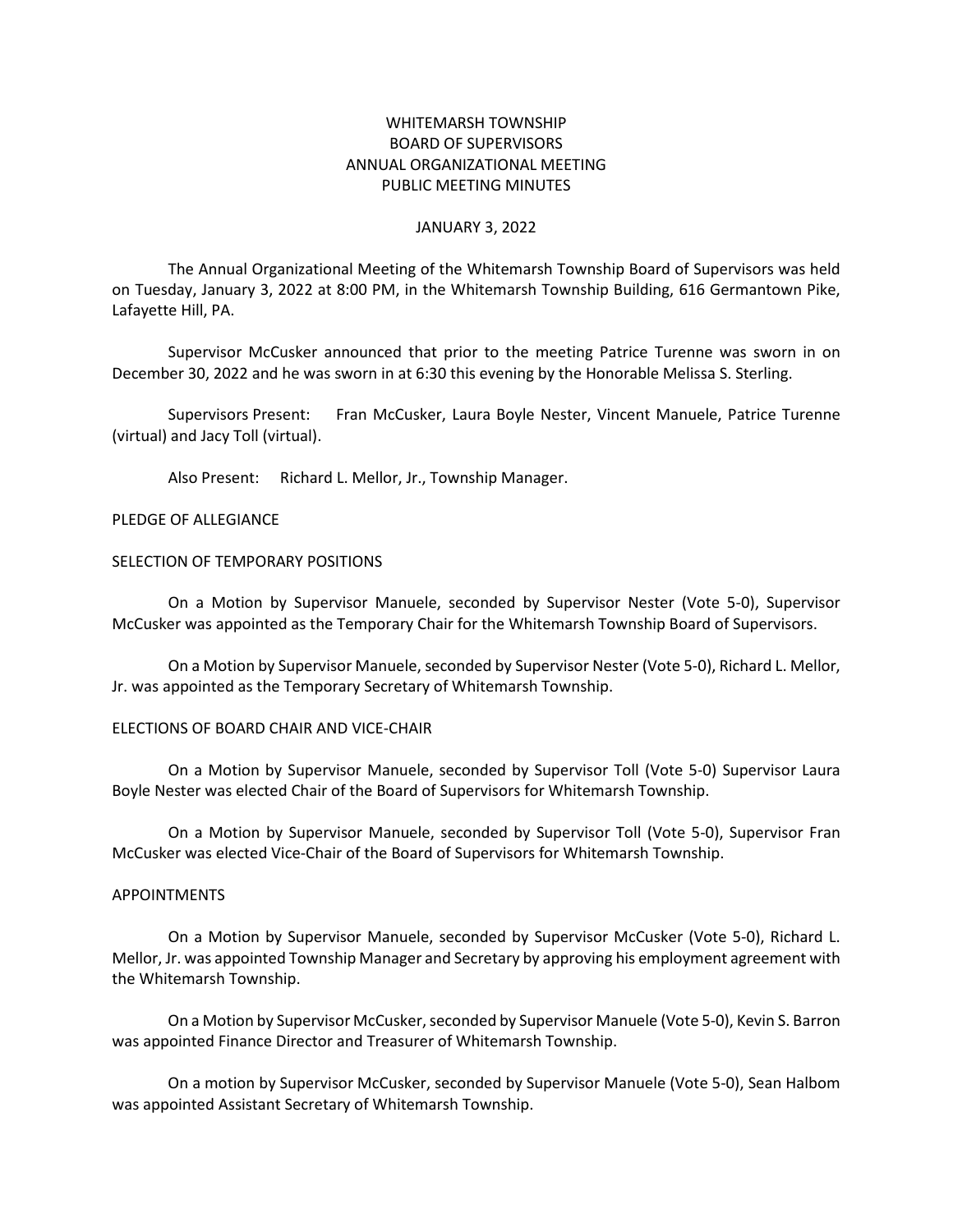# WHITEMARSH TOWNSHIP BOARD OF SUPERVISORS ANNUAL ORGANIZATIONAL MEETING PUBLIC MEETING MINUTES

### JANUARY 3, 2022

The Annual Organizational Meeting of the Whitemarsh Township Board of Supervisors was held on Tuesday, January 3, 2022 at 8:00 PM, in the Whitemarsh Township Building, 616 Germantown Pike, Lafayette Hill, PA.

Supervisor McCusker announced that prior to the meeting Patrice Turenne was sworn in on December 30, 2022 and he was sworn in at 6:30 this evening by the Honorable Melissa S. Sterling.

Supervisors Present: Fran McCusker, Laura Boyle Nester, Vincent Manuele, Patrice Turenne (virtual) and Jacy Toll (virtual).

Also Present: Richard L. Mellor, Jr., Township Manager.

### PLEDGE OF ALLEGIANCE

### SELECTION OF TEMPORARY POSITIONS

On a Motion by Supervisor Manuele, seconded by Supervisor Nester (Vote 5-0), Supervisor McCusker was appointed as the Temporary Chair for the Whitemarsh Township Board of Supervisors.

On a Motion by Supervisor Manuele, seconded by Supervisor Nester (Vote 5-0), Richard L. Mellor, Jr. was appointed as the Temporary Secretary of Whitemarsh Township.

# ELECTIONS OF BOARD CHAIR AND VICE-CHAIR

On a Motion by Supervisor Manuele, seconded by Supervisor Toll (Vote 5-0) Supervisor Laura Boyle Nester was elected Chair of the Board of Supervisors for Whitemarsh Township.

On a Motion by Supervisor Manuele, seconded by Supervisor Toll (Vote 5-0), Supervisor Fran McCusker was elected Vice-Chair of the Board of Supervisors for Whitemarsh Township.

#### APPOINTMENTS

On a Motion by Supervisor Manuele, seconded by Supervisor McCusker (Vote 5-0), Richard L. Mellor, Jr. was appointed Township Manager and Secretary by approving his employment agreement with the Whitemarsh Township.

On a Motion by Supervisor McCusker, seconded by Supervisor Manuele (Vote 5-0), Kevin S. Barron was appointed Finance Director and Treasurer of Whitemarsh Township.

On a motion by Supervisor McCusker, seconded by Supervisor Manuele (Vote 5-0), Sean Halbom was appointed Assistant Secretary of Whitemarsh Township.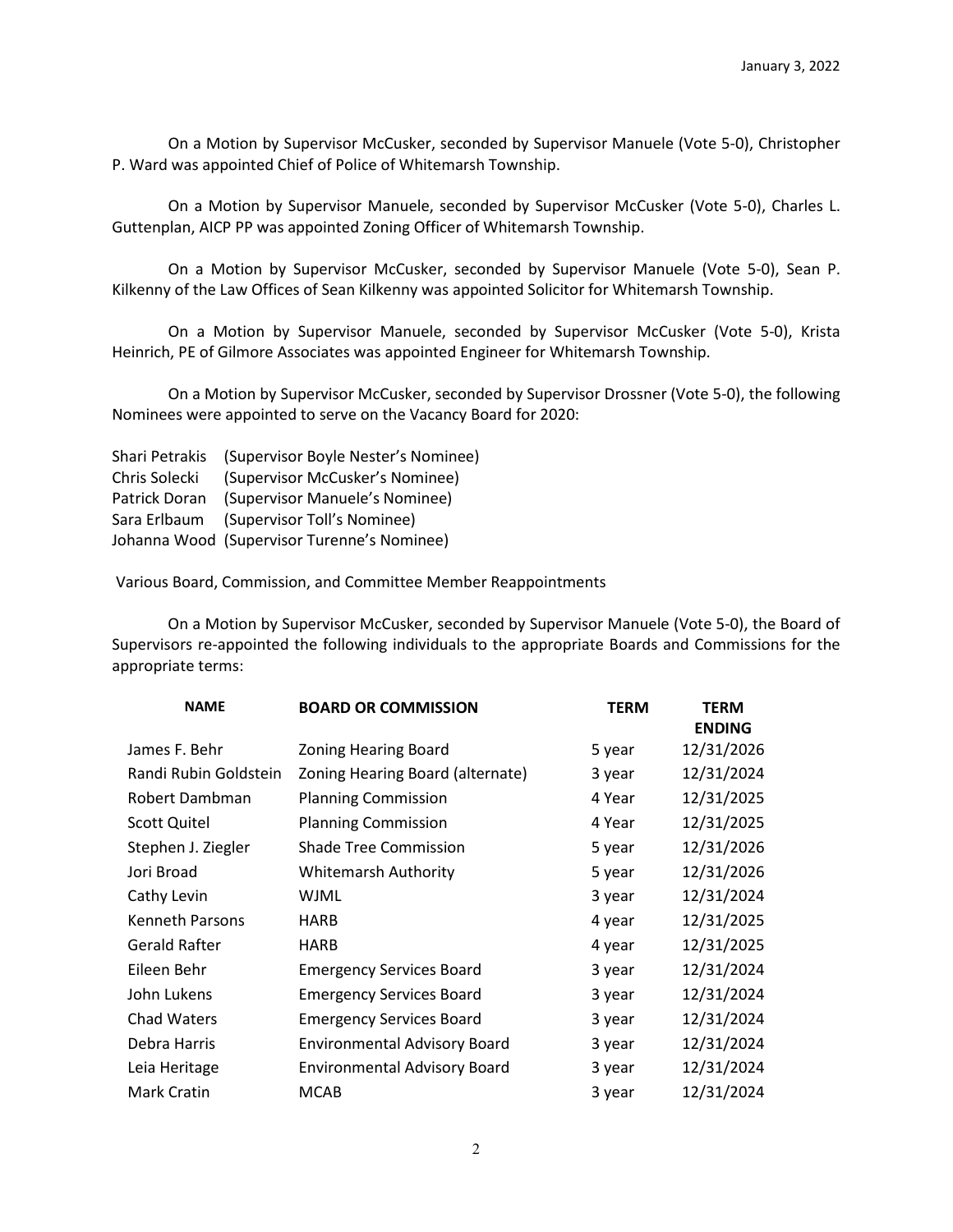On a Motion by Supervisor McCusker, seconded by Supervisor Manuele (Vote 5-0), Christopher P. Ward was appointed Chief of Police of Whitemarsh Township.

On a Motion by Supervisor Manuele, seconded by Supervisor McCusker (Vote 5-0), Charles L. Guttenplan, AICP PP was appointed Zoning Officer of Whitemarsh Township.

On a Motion by Supervisor McCusker, seconded by Supervisor Manuele (Vote 5-0), Sean P. Kilkenny of the Law Offices of Sean Kilkenny was appointed Solicitor for Whitemarsh Township.

On a Motion by Supervisor Manuele, seconded by Supervisor McCusker (Vote 5-0), Krista Heinrich, PE of Gilmore Associates was appointed Engineer for Whitemarsh Township.

On a Motion by Supervisor McCusker, seconded by Supervisor Drossner (Vote 5-0), the following Nominees were appointed to serve on the Vacancy Board for 2020:

Shari Petrakis (Supervisor Boyle Nester's Nominee) Chris Solecki (Supervisor McCusker's Nominee) Patrick Doran (Supervisor Manuele's Nominee) Sara Erlbaum (Supervisor Toll's Nominee) Johanna Wood (Supervisor Turenne's Nominee)

Various Board, Commission, and Committee Member Reappointments

On a Motion by Supervisor McCusker, seconded by Supervisor Manuele (Vote 5-0), the Board of Supervisors re-appointed the following individuals to the appropriate Boards and Commissions for the appropriate terms:

| <b>NAME</b>            | <b>BOARD OR COMMISSION</b>          | <b>TERM</b> | <b>TERM</b><br><b>ENDING</b> |
|------------------------|-------------------------------------|-------------|------------------------------|
| James F. Behr          | <b>Zoning Hearing Board</b>         | 5 year      | 12/31/2026                   |
| Randi Rubin Goldstein  | Zoning Hearing Board (alternate)    | 3 year      | 12/31/2024                   |
| Robert Dambman         | <b>Planning Commission</b>          | 4 Year      | 12/31/2025                   |
| <b>Scott Quitel</b>    | <b>Planning Commission</b>          | 4 Year      | 12/31/2025                   |
| Stephen J. Ziegler     | <b>Shade Tree Commission</b>        | 5 year      | 12/31/2026                   |
| Jori Broad             | <b>Whitemarsh Authority</b>         | 5 year      | 12/31/2026                   |
| Cathy Levin            | WJML                                | 3 year      | 12/31/2024                   |
| <b>Kenneth Parsons</b> | <b>HARB</b>                         | 4 year      | 12/31/2025                   |
| Gerald Rafter          | <b>HARB</b>                         | 4 year      | 12/31/2025                   |
| Eileen Behr            | <b>Emergency Services Board</b>     | 3 year      | 12/31/2024                   |
| John Lukens            | <b>Emergency Services Board</b>     | 3 year      | 12/31/2024                   |
| <b>Chad Waters</b>     | <b>Emergency Services Board</b>     | 3 year      | 12/31/2024                   |
| Debra Harris           | <b>Environmental Advisory Board</b> | 3 year      | 12/31/2024                   |
| Leia Heritage          | <b>Environmental Advisory Board</b> | 3 year      | 12/31/2024                   |
| Mark Cratin            | <b>MCAB</b>                         | 3 year      | 12/31/2024                   |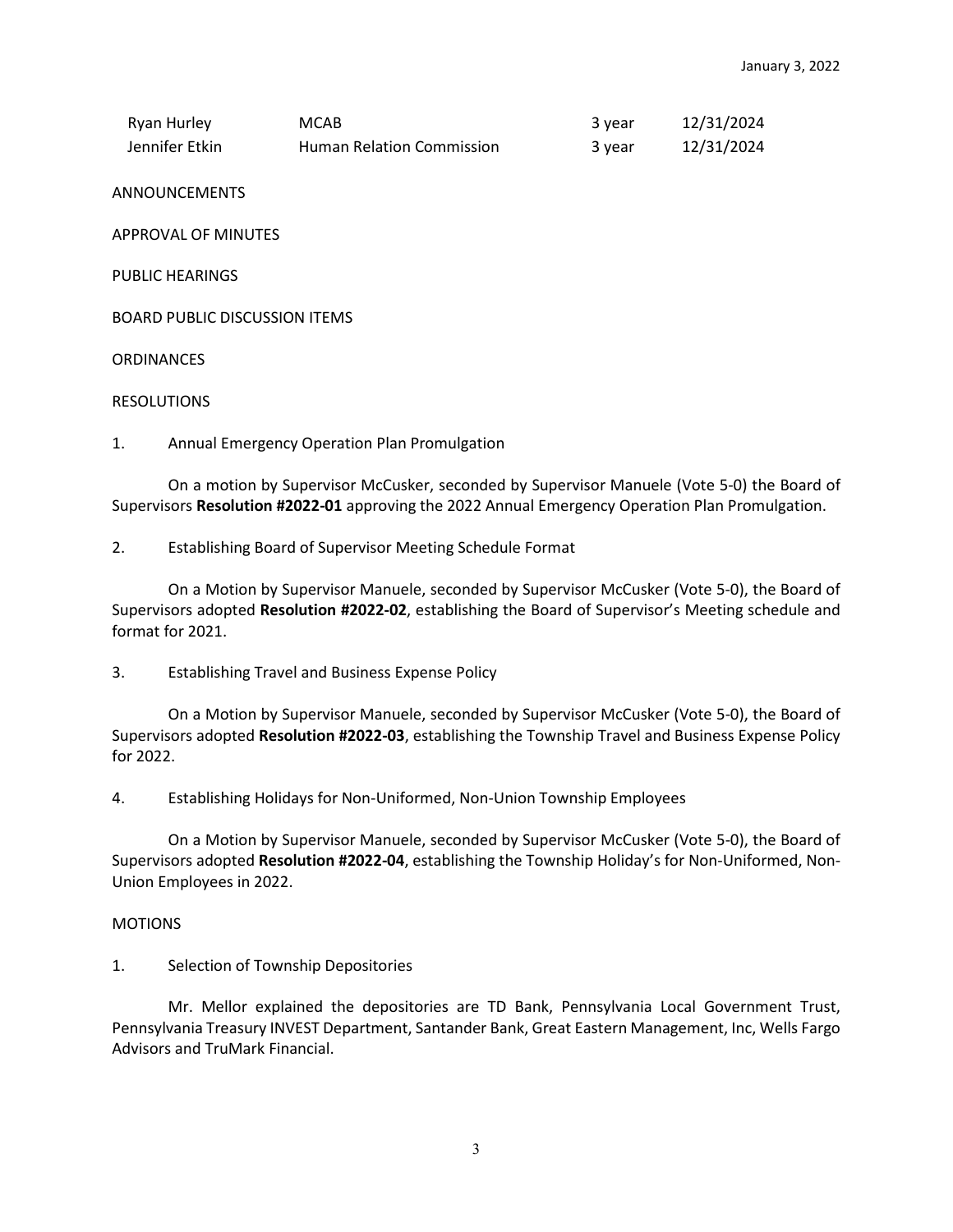| Ryan Hurley    | MCAB                             | 3 vear | 12/31/2024 |
|----------------|----------------------------------|--------|------------|
| Jennifer Etkin | <b>Human Relation Commission</b> | 3 year | 12/31/2024 |

ANNOUNCEMENTS

APPROVAL OF MINUTES

PUBLIC HEARINGS

BOARD PUBLIC DISCUSSION ITEMS

**ORDINANCES** 

## RESOLUTIONS

1. Annual Emergency Operation Plan Promulgation

On a motion by Supervisor McCusker, seconded by Supervisor Manuele (Vote 5-0) the Board of Supervisors **Resolution #2022-01** approving the 2022 Annual Emergency Operation Plan Promulgation.

2. Establishing Board of Supervisor Meeting Schedule Format

On a Motion by Supervisor Manuele, seconded by Supervisor McCusker (Vote 5-0), the Board of Supervisors adopted **Resolution #2022-02**, establishing the Board of Supervisor's Meeting schedule and format for 2021.

3. Establishing Travel and Business Expense Policy

On a Motion by Supervisor Manuele, seconded by Supervisor McCusker (Vote 5-0), the Board of Supervisors adopted **Resolution #2022-03**, establishing the Township Travel and Business Expense Policy for 2022.

4. Establishing Holidays for Non-Uniformed, Non-Union Township Employees

On a Motion by Supervisor Manuele, seconded by Supervisor McCusker (Vote 5-0), the Board of Supervisors adopted **Resolution #2022-04**, establishing the Township Holiday's for Non-Uniformed, Non-Union Employees in 2022.

## **MOTIONS**

1. Selection of Township Depositories

Mr. Mellor explained the depositories are TD Bank, Pennsylvania Local Government Trust, Pennsylvania Treasury INVEST Department, Santander Bank, Great Eastern Management, Inc, Wells Fargo Advisors and TruMark Financial.